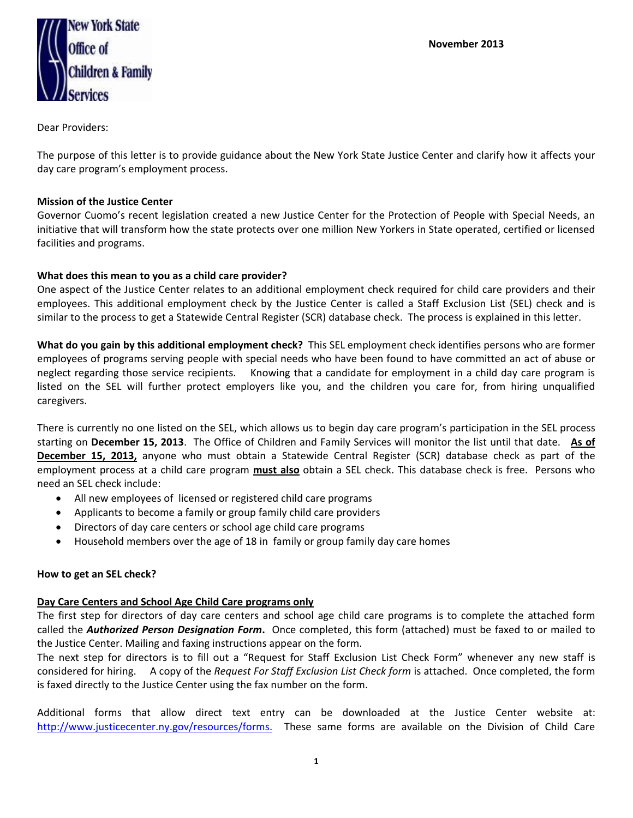

Dear Providers:

The purpose of this letter is to provide guidance about the New York State Justice Center and clarify how it affects your day care program's employment process.

### **Mission of the Justice Center**

Governor Cuomo's recent legislation created a new Justice Center for the Protection of People with Special Needs, an initiative that will transform how the state protects over one million New Yorkers in State operated, certified or licensed facilities and programs.

#### **What does this mean to you as a child care provider?**

One aspect of the Justice Center relates to an additional employment check required for child care providers and their employees. This additional employment check by the Justice Center is called a Staff Exclusion List (SEL) check and is similar to the process to get a Statewide Central Register (SCR) database check. The process is explained in this letter.

**What do you gain by this additional employment check?** This SEL employment check identifies persons who are former employees of programs serving people with special needs who have been found to have committed an act of abuse or neglect regarding those service recipients. Knowing that a candidate for employment in a child day care program is listed on the SEL will further protect employers like you, and the children you care for, from hiring unqualified caregivers.

There is currently no one listed on the SEL, which allows us to begin day care program's participation in the SEL process starting on **December 15, 2013**. The Office of Children and Family Services will monitor the list until that date. **As of December 15, 2013,** anyone who must obtain a Statewide Central Register (SCR) database check as part of the employment process at a child care program **must also** obtain a SEL check. This database check is free. Persons who need an SEL check include:

- All new employees of licensed or registered child care programs
- Applicants to become a family or group family child care providers
- Directors of day care centers or school age child care programs
- Household members over the age of 18 in family or group family day care homes

# **How to get an SEL check?**

# **Day Care Centers and School Age Child Care programs only**

The first step for directors of day care centers and school age child care programs is to complete the attached form called the *Authorized Person Designation Form***.** Once completed, this form (attached) must be faxed to or mailed to the Justice Center. Mailing and faxing instructions appear on the form.

The next step for directors is to fill out a "Request for Staff Exclusion List Check Form" whenever any new staff is considered for hiring. A copy of the *Request For Staff Exclusion List Check form* is attached. Once completed, the form is faxed directly to the Justice Center using the fax number on the form.

Additional forms that allow direct text entry can be downloaded at the Justice Center website at: [http://www.justicecenter.ny.gov/resources/forms.](http://www.justicecenter.ny.gov/resources/forms) These same forms are available on the Division of Child Care